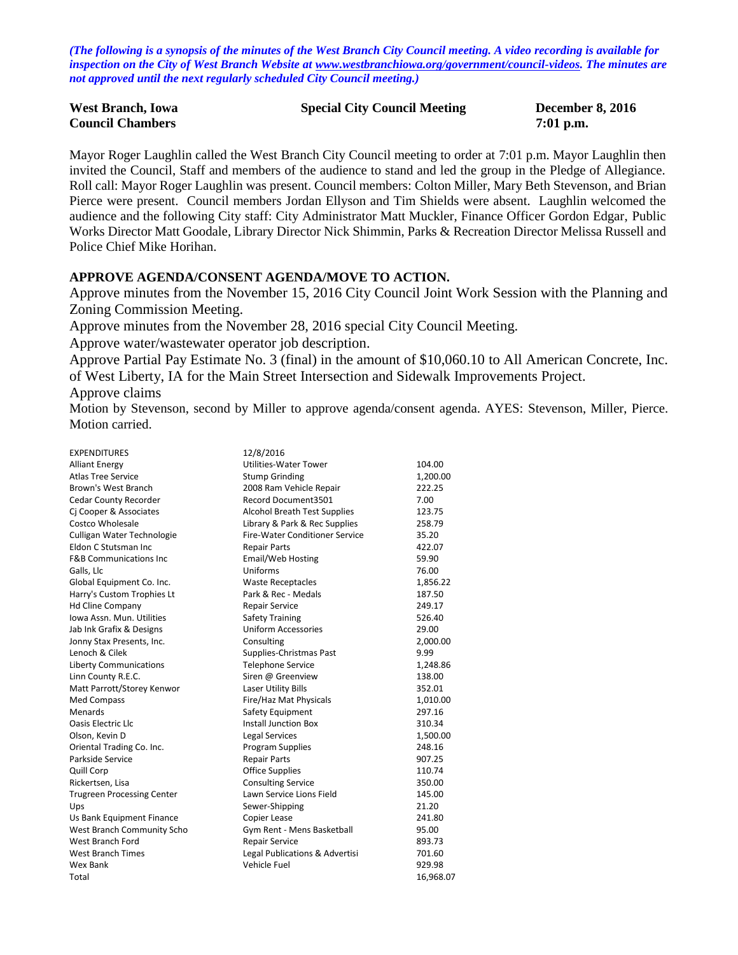*(The following is a synopsis of the minutes of the West Branch City Council meeting. A video recording is available for inspection on the City of West Branch Website at [www.westbranchiowa.org/government/council-videos.](http://www.westbranchiowa.org/government/council-videos) The minutes are not approved until the next regularly scheduled City Council meeting.)*

| <b>West Branch, Iowa</b> | <b>Special City Council Meeting</b> | <b>December 8, 2016</b> |
|--------------------------|-------------------------------------|-------------------------|
| <b>Council Chambers</b>  |                                     | $7:01$ p.m.             |

Mayor Roger Laughlin called the West Branch City Council meeting to order at 7:01 p.m. Mayor Laughlin then invited the Council, Staff and members of the audience to stand and led the group in the Pledge of Allegiance. Roll call: Mayor Roger Laughlin was present. Council members: Colton Miller, Mary Beth Stevenson, and Brian Pierce were present. Council members Jordan Ellyson and Tim Shields were absent. Laughlin welcomed the audience and the following City staff: City Administrator Matt Muckler, Finance Officer Gordon Edgar, Public Works Director Matt Goodale, Library Director Nick Shimmin, Parks & Recreation Director Melissa Russell and Police Chief Mike Horihan.

#### **APPROVE AGENDA/CONSENT AGENDA/MOVE TO ACTION.**

Approve minutes from the November 15, 2016 City Council Joint Work Session with the Planning and Zoning Commission Meeting.

Approve minutes from the November 28, 2016 special City Council Meeting.

Approve water/wastewater operator job description.

Approve Partial Pay Estimate No. 3 (final) in the amount of \$10,060.10 to All American Concrete, Inc. of West Liberty, IA for the Main Street Intersection and Sidewalk Improvements Project.

Approve claims

Motion by Stevenson, second by Miller to approve agenda/consent agenda. AYES: Stevenson, Miller, Pierce. Motion carried.

| <b>EXPENDITURES</b>               | 12/8/2016                             |           |
|-----------------------------------|---------------------------------------|-----------|
| <b>Alliant Energy</b>             | Utilities-Water Tower                 | 104.00    |
| <b>Atlas Tree Service</b>         | <b>Stump Grinding</b>                 | 1,200.00  |
| Brown's West Branch               | 2008 Ram Vehicle Repair               | 222.25    |
| <b>Cedar County Recorder</b>      | Record Document3501                   | 7.00      |
| Cj Cooper & Associates            | <b>Alcohol Breath Test Supplies</b>   | 123.75    |
| Costco Wholesale                  | Library & Park & Rec Supplies         | 258.79    |
| Culligan Water Technologie        | <b>Fire-Water Conditioner Service</b> | 35.20     |
| Eldon C Stutsman Inc              | <b>Repair Parts</b>                   | 422.07    |
| <b>F&amp;B Communications Inc</b> | Email/Web Hosting                     | 59.90     |
| Galls, Llc                        | Uniforms                              | 76.00     |
| Global Equipment Co. Inc.         | <b>Waste Receptacles</b>              | 1,856.22  |
| Harry's Custom Trophies Lt        | Park & Rec - Medals                   | 187.50    |
| <b>Hd Cline Company</b>           | <b>Repair Service</b>                 | 249.17    |
| Iowa Assn. Mun. Utilities         | <b>Safety Training</b>                | 526.40    |
| Jab Ink Grafix & Designs          | <b>Uniform Accessories</b>            | 29.00     |
| Jonny Stax Presents, Inc.         | Consulting                            | 2,000.00  |
| Lenoch & Cilek                    | Supplies-Christmas Past               | 9.99      |
| <b>Liberty Communications</b>     | <b>Telephone Service</b>              | 1,248.86  |
| Linn County R.E.C.                | Siren @ Greenview                     | 138.00    |
| Matt Parrott/Storey Kenwor        | Laser Utility Bills                   | 352.01    |
| Med Compass                       | Fire/Haz Mat Physicals                | 1,010.00  |
| Menards                           | Safety Equipment                      | 297.16    |
| <b>Oasis Electric Llc</b>         | <b>Install Junction Box</b>           | 310.34    |
| Olson, Kevin D                    | Legal Services                        | 1,500.00  |
| Oriental Trading Co. Inc.         | <b>Program Supplies</b>               | 248.16    |
| Parkside Service                  | <b>Repair Parts</b>                   | 907.25    |
| Quill Corp                        | <b>Office Supplies</b>                | 110.74    |
| Rickertsen, Lisa                  | <b>Consulting Service</b>             | 350.00    |
| <b>Trugreen Processing Center</b> | Lawn Service Lions Field              | 145.00    |
| Ups                               | Sewer-Shipping                        | 21.20     |
| Us Bank Equipment Finance         | Copier Lease                          | 241.80    |
| West Branch Community Scho        | Gym Rent - Mens Basketball            | 95.00     |
| West Branch Ford                  | Repair Service                        | 893.73    |
| <b>West Branch Times</b>          | Legal Publications & Advertisi        | 701.60    |
| Wex Bank                          | Vehicle Fuel                          | 929.98    |
| Total                             |                                       | 16,968.07 |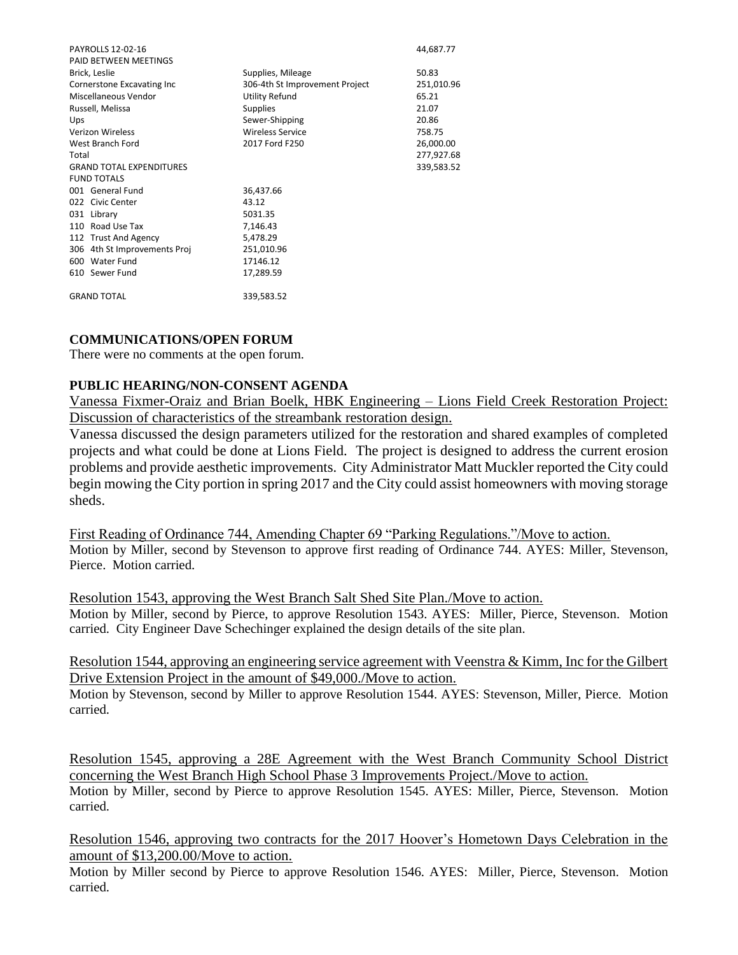| <b>PAYROLLS 12-02-16</b>        |                                | 44,687.77  |
|---------------------------------|--------------------------------|------------|
| PAID BETWEEN MEETINGS           |                                |            |
| Brick, Leslie                   | Supplies, Mileage              | 50.83      |
| Cornerstone Excavating Inc      | 306-4th St Improvement Project | 251,010.96 |
| Miscellaneous Vendor            | Utility Refund                 | 65.21      |
| Russell, Melissa                | <b>Supplies</b>                | 21.07      |
| Ups                             | Sewer-Shipping                 | 20.86      |
| <b>Verizon Wireless</b>         | <b>Wireless Service</b>        | 758.75     |
| West Branch Ford                | 2017 Ford F250                 | 26,000.00  |
| Total                           |                                | 277,927.68 |
| <b>GRAND TOTAL EXPENDITURES</b> |                                | 339,583.52 |
| <b>FUND TOTALS</b>              |                                |            |
| 001 General Fund                | 36,437.66                      |            |
| 022 Civic Center                | 43.12                          |            |
| 031 Library                     | 5031.35                        |            |
| 110 Road Use Tax                | 7,146.43                       |            |
| 112 Trust And Agency            | 5,478.29                       |            |
| 306 4th St Improvements Proj    | 251,010.96                     |            |
| 600 Water Fund                  | 17146.12                       |            |
| 610 Sewer Fund                  | 17,289.59                      |            |
| <b>GRAND TOTAL</b>              | 339,583.52                     |            |

# **COMMUNICATIONS/OPEN FORUM**

There were no comments at the open forum.

## **PUBLIC HEARING/NON-CONSENT AGENDA**

Vanessa Fixmer-Oraiz and Brian Boelk, HBK Engineering – Lions Field Creek Restoration Project: Discussion of characteristics of the streambank restoration design.

Vanessa discussed the design parameters utilized for the restoration and shared examples of completed projects and what could be done at Lions Field. The project is designed to address the current erosion problems and provide aesthetic improvements. City Administrator Matt Muckler reported the City could begin mowing the City portion in spring 2017 and the City could assist homeowners with moving storage sheds.

First Reading of Ordinance 744, Amending Chapter 69 "Parking Regulations."/Move to action. Motion by Miller, second by Stevenson to approve first reading of Ordinance 744. AYES: Miller, Stevenson, Pierce. Motion carried.

Resolution 1543, approving the West Branch Salt Shed Site Plan./Move to action.

Motion by Miller, second by Pierce, to approve Resolution 1543. AYES: Miller, Pierce, Stevenson. Motion carried. City Engineer Dave Schechinger explained the design details of the site plan.

Resolution 1544, approving an engineering service agreement with Veenstra & Kimm, Inc for the Gilbert Drive Extension Project in the amount of \$49,000./Move to action.

Motion by Stevenson, second by Miller to approve Resolution 1544. AYES: Stevenson, Miller, Pierce. Motion carried.

Resolution 1545, approving a 28E Agreement with the West Branch Community School District concerning the West Branch High School Phase 3 Improvements Project./Move to action. Motion by Miller, second by Pierce to approve Resolution 1545. AYES: Miller, Pierce, Stevenson. Motion carried.

Resolution 1546, approving two contracts for the 2017 Hoover's Hometown Days Celebration in the amount of \$13,200.00/Move to action.

Motion by Miller second by Pierce to approve Resolution 1546. AYES: Miller, Pierce, Stevenson. Motion carried.